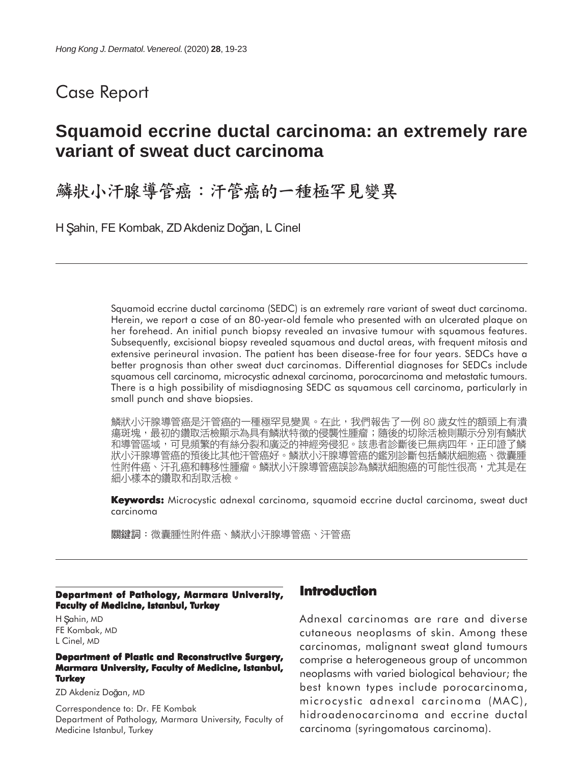## Case Report

# **Squamoid eccrine ductal carcinoma: an extremely rare variant of sweat duct carcinoma**

鱗狀小汗腺導管癌:汗管癌的一種極罕見變異

H Şahin, FE Kombak, ZD Akdeniz Doğan, L Cinel

Squamoid eccrine ductal carcinoma (SEDC) is an extremely rare variant of sweat duct carcinoma. Herein, we report a case of an 80-year-old female who presented with an ulcerated plaque on her forehead. An initial punch biopsy revealed an invasive tumour with squamous features. Subsequently, excisional biopsy revealed squamous and ductal areas, with frequent mitosis and extensive perineural invasion. The patient has been disease-free for four years. SEDCs have a better prognosis than other sweat duct carcinomas. Differential diagnoses for SEDCs include squamous cell carcinoma, microcystic adnexal carcinoma, porocarcinoma and metastatic tumours. There is a high possibility of misdiagnosing SEDC as squamous cell carcinoma, particularly in small punch and shave biopsies.

鱗狀小汗腺導管癌是汗管癌的一種極罕見變異。在此,我們報告了一例 80 歲女性的額頭上有潰 瘍斑塊,最初的鑽取活檢顯示為具有鱗狀特徵的侵襲性腫瘤;隨後的切除活檢則顯示分別有鱗狀 和導管區域,可見頻繁的有絲分裂和廣泛的神經旁侵犯。該患者診斷後已無病四年,正印證了鱗 狀小汗腺導管癌的預後比其他汗管癌好。鱗狀小汗腺導管癌的鑑別診斷包括鱗狀細胞癌、微囊腫 性附件癌、汗孔癌和轉移性腫瘤。鱗狀小汗腺導管癌誤診為鱗狀細胞癌的可能性很高,尤其是在 細小樣本的鑽取和刮取活檢。

**Keywords:** Microcystic adnexal carcinoma, squamoid eccrine ductal carcinoma, sweat duct carcinoma

關鍵詞:微囊腫性附件癌、鱗狀小汗腺導管癌、汗管癌

#### **Department of Pathology, Marmara University, Faculty of Medicine, Istanbul, Turkey**

H Sahin, MD FE Kombak, MD L Cinel, MD

#### **Department of Plastic and Reconstructive Surgery, Marmara University, Faculty of Medicine, Istanbul, Turkey**

ZD Akdeniz Doğan, MD

Correspondence to: Dr. FE Kombak Department of Pathology, Marmara University, Faculty of Medicine Istanbul, Turkey

### **Introduction**

Adnexal carcinomas are rare and diverse cutaneous neoplasms of skin. Among these carcinomas, malignant sweat gland tumours comprise a heterogeneous group of uncommon neoplasms with varied biological behaviour; the best known types include porocarcinoma, microcystic adnexal carcinoma (MAC), hidroadenocarcinoma and eccrine ductal carcinoma (syringomatous carcinoma).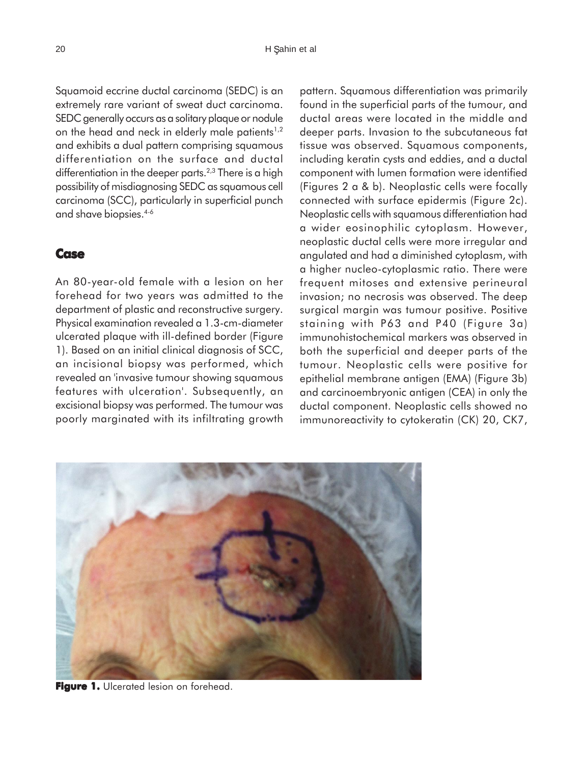Squamoid eccrine ductal carcinoma (SEDC) is an extremely rare variant of sweat duct carcinoma. SEDC generally occurs as a solitary plaque or nodule on the head and neck in elderly male patients<sup>1,2</sup> and exhibits a dual pattern comprising squamous differentiation on the surface and ductal differentiation in the deeper parts.<sup> $2,3$ </sup> There is a high possibility of misdiagnosing SEDC as squamous cell carcinoma (SCC), particularly in superficial punch and shave biopsies.4-6

#### **Case**

An 80-year-old female with a lesion on her forehead for two years was admitted to the department of plastic and reconstructive surgery. Physical examination revealed a 1.3-cm-diameter ulcerated plaque with ill-defined border (Figure 1). Based on an initial clinical diagnosis of SCC, an incisional biopsy was performed, which revealed an 'invasive tumour showing squamous features with ulceration'. Subsequently, an excisional biopsy was performed. The tumour was poorly marginated with its infiltrating growth pattern. Squamous differentiation was primarily found in the superficial parts of the tumour, and ductal areas were located in the middle and deeper parts. Invasion to the subcutaneous fat tissue was observed. Squamous components, including keratin cysts and eddies, and a ductal component with lumen formation were identified (Figures 2 a & b). Neoplastic cells were focally connected with surface epidermis (Figure 2c). Neoplastic cells with squamous differentiation had a wider eosinophilic cytoplasm. However, neoplastic ductal cells were more irregular and angulated and had a diminished cytoplasm, with a higher nucleo-cytoplasmic ratio. There were frequent mitoses and extensive perineural invasion; no necrosis was observed. The deep surgical margin was tumour positive. Positive staining with P63 and P40 (Figure 3a) immunohistochemical markers was observed in both the superficial and deeper parts of the tumour. Neoplastic cells were positive for epithelial membrane antigen (EMA) (Figure 3b) and carcinoembryonic antigen (CEA) in only the ductal component. Neoplastic cells showed no immunoreactivity to cytokeratin (CK) 20, CK7,



**Figure 1. Figure 1.** Ulcerated lesion on forehead.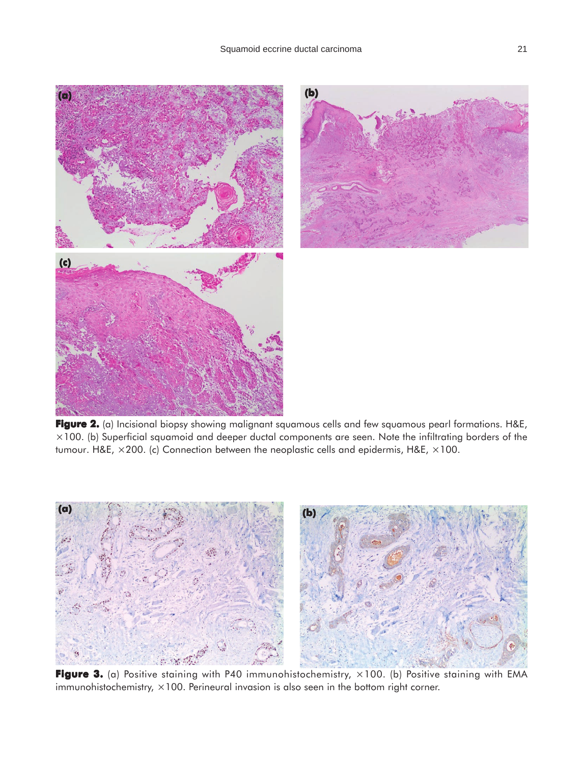

**Figure 2. 2.** (a) Incisional biopsy showing malignant squamous cells and few squamous pearl formations. H&E,  $\times100$ . (b) Superficial squamoid and deeper ductal components are seen. Note the infiltrating borders of the tumour. H&E,  $\times$ 200. (c) Connection between the neoplastic cells and epidermis, H&E,  $\times$ 100.



**Figure 3.** (a) Positive staining with P40 immunohistochemistry, ×100. (b) Positive staining with EMA immunohistochemistry,  $\times$ 100. Perineural invasion is also seen in the bottom right corner.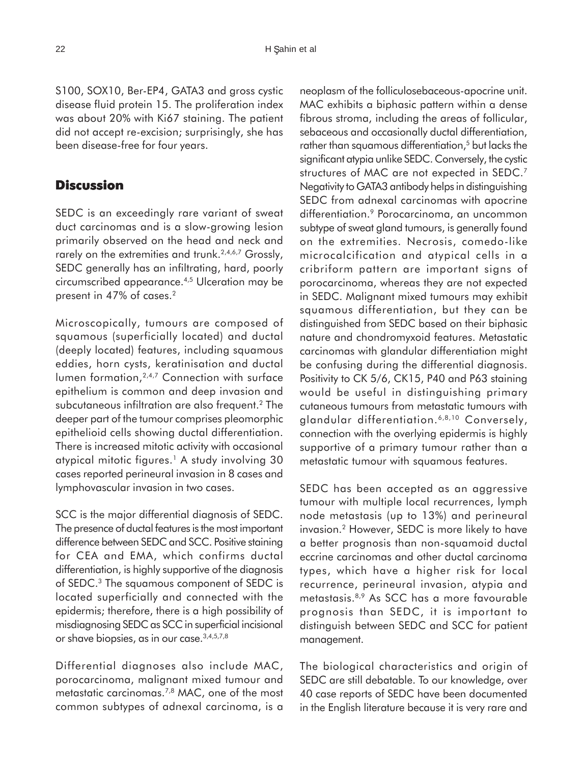S100, SOX10, Ber-EP4, GATA3 and gross cystic disease fluid protein 15. The proliferation index was about 20% with Ki67 staining. The patient did not accept re-excision; surprisingly, she has been disease-free for four years.

#### **Discussion**

SEDC is an exceedingly rare variant of sweat duct carcinomas and is a slow-growing lesion primarily observed on the head and neck and rarely on the extremities and trunk.<sup>2,4,6,7</sup> Grossly, SEDC generally has an infiltrating, hard, poorly circumscribed appearance.4,5 Ulceration may be present in 47% of cases.<sup>2</sup>

Microscopically, tumours are composed of squamous (superficially located) and ductal (deeply located) features, including squamous eddies, horn cysts, keratinisation and ductal lumen formation, <sup>2,4,7</sup> Connection with surface epithelium is common and deep invasion and subcutaneous infiltration are also frequent.<sup>2</sup> The deeper part of the tumour comprises pleomorphic epithelioid cells showing ductal differentiation. There is increased mitotic activity with occasional atypical mitotic figures.<sup>1</sup> A study involving 30 cases reported perineural invasion in 8 cases and lymphovascular invasion in two cases.

SCC is the major differential diagnosis of SEDC. The presence of ductal features is the most important difference between SEDC and SCC. Positive staining for CEA and EMA, which confirms ductal differentiation, is highly supportive of the diagnosis of SEDC.3 The squamous component of SEDC is located superficially and connected with the epidermis; therefore, there is a high possibility of misdiagnosing SEDC as SCC in superficial incisional or shave biopsies, as in our case.<sup>3,4,5,7,8</sup>

Differential diagnoses also include MAC, porocarcinoma, malignant mixed tumour and metastatic carcinomas.7,8 MAC, one of the most common subtypes of adnexal carcinoma, is a

neoplasm of the folliculosebaceous-apocrine unit. MAC exhibits a biphasic pattern within a dense fibrous stroma, including the areas of follicular, sebaceous and occasionally ductal differentiation, rather than squamous differentiation,<sup>5</sup> but lacks the significant atypia unlike SEDC. Conversely, the cystic structures of MAC are not expected in SEDC.<sup>7</sup> Negativity to GATA3 antibody helps in distinguishing SEDC from adnexal carcinomas with apocrine differentiation.<sup>9</sup> Porocarcinoma, an uncommon subtype of sweat gland tumours, is generally found on the extremities. Necrosis, comedo-like microcalcification and atypical cells in a cribriform pattern are important signs of porocarcinoma, whereas they are not expected in SEDC. Malignant mixed tumours may exhibit squamous differentiation, but they can be distinguished from SEDC based on their biphasic nature and chondromyxoid features. Metastatic carcinomas with glandular differentiation might be confusing during the differential diagnosis. Positivity to CK 5/6, CK15, P40 and P63 staining would be useful in distinguishing primary cutaneous tumours from metastatic tumours with glandular differentiation.<sup>6,8,10</sup> Conversely, connection with the overlying epidermis is highly supportive of a primary tumour rather than a metastatic tumour with squamous features.

SEDC has been accepted as an aggressive tumour with multiple local recurrences, lymph node metastasis (up to 13%) and perineural invasion.2 However, SEDC is more likely to have a better prognosis than non-squamoid ductal eccrine carcinomas and other ductal carcinoma types, which have a higher risk for local recurrence, perineural invasion, atypia and metastasis.8,9 As SCC has a more favourable prognosis than SEDC, it is important to distinguish between SEDC and SCC for patient management.

The biological characteristics and origin of SEDC are still debatable. To our knowledge, over 40 case reports of SEDC have been documented in the English literature because it is very rare and